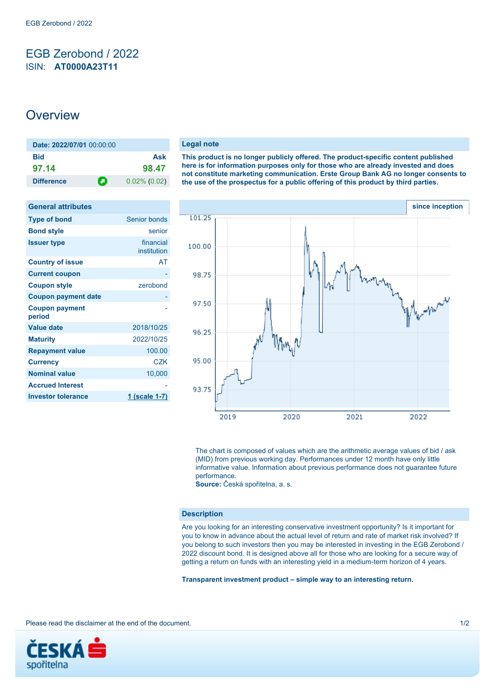## <span id="page-0-0"></span>EGB Zerobond / 2022 ISIN: **AT0000A23T11**

# **Overview**

| Date: 2022/07/01 00:00:00 |                 |
|---------------------------|-----------------|
| <b>Bid</b>                | Ask             |
| 97.14                     | 98.47           |
| п<br><b>Difference</b>    | $0.02\%$ (0.02) |

| <b>General attributes</b>       |                          |
|---------------------------------|--------------------------|
| <b>Type of bond</b>             | Senior bonds             |
| <b>Bond style</b>               | senior                   |
| <b>Issuer type</b>              | financial<br>institution |
| <b>Country of issue</b>         | AT                       |
| <b>Current coupon</b>           |                          |
| <b>Coupon style</b>             | zerobond                 |
| <b>Coupon payment date</b>      |                          |
| <b>Coupon payment</b><br>period |                          |
| <b>Value date</b>               | 2018/10/25               |
| <b>Maturity</b>                 | 2022/10/25               |
| <b>Repayment value</b>          | 100.00                   |
| <b>Currency</b>                 | <b>CZK</b>               |
| <b>Nominal value</b>            | 10,000                   |
| <b>Accrued Interest</b>         |                          |
| <b>Investor tolerance</b>       | <u>1 (scale 1-7)</u>     |

#### **Legal note**

**This product is no longer publicly offered. The product-specific content published here is for information purposes only for those who are already invested and does not constitute marketing communication. Erste Group Bank AG no longer consents to the use of the prospectus for a public offering of this product by third parties.**



The chart is composed of values which are the arithmetic average values of bid / ask (MID) from previous working day. Performances under 12 month have only little informative value. Information about previous performance does not guarantee future performance.

**Source:** Česká spořitelna, a. s.

### **Description**

Are you looking for an interesting conservative investment opportunity? Is it important for you to know in advance about the actual level of return and rate of market risk involved? If you belong to such investors then you may be interested in investing in the EGB Zerobond / 2022 discount bond. It is designed above all for those who are looking for a secure way of getting a return on funds with an interesting yield in a medium-term horizon of 4 years.

**Transparent investment product – simple way to an interesting return.**

Please read the disclaimer at the end of the document. 1/2